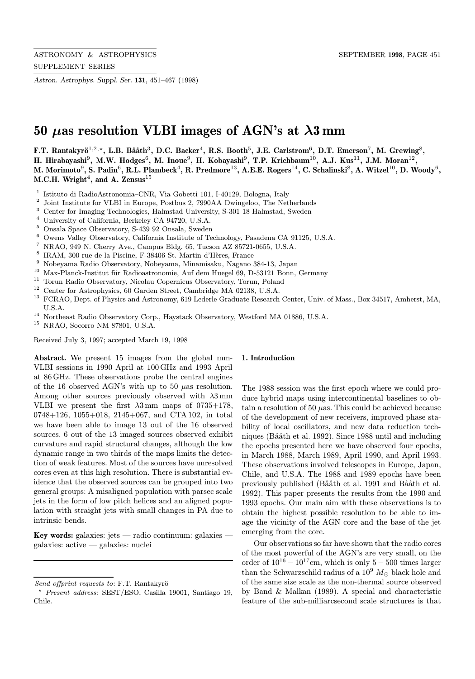Astron. Astrophys. Suppl. Ser. 131, 451–467 (1998)

# 50  $\mu$ as resolution VLBI images of AGN's at  $\lambda$ 3 mm

F.T. Rantakyrö<sup>1,2,\*</sup>, L.B. Bååth<sup>3</sup>, D.C. Backer<sup>4</sup>, R.S. Booth<sup>5</sup>, J.E. Carlstrom<sup>6</sup>, D.T. Emerson<sup>7</sup>, M. Grewing<sup>8</sup>, H. Hirabayashi<sup>9</sup>, M.W. Hodges<sup>6</sup>, M. Inoue<sup>9</sup>, H. Kobayashi<sup>9</sup>, T.P. Krichbaum<sup>10</sup>, A.J. Kus<sup>11</sup>, J.M. Moran<sup>12</sup>, M. Morimoto<sup>9</sup>, S. Padin<sup>6</sup>, R.L. Plambeck<sup>4</sup>, R. Predmore<sup>13</sup>, A.E.E. Rogers<sup>14</sup>, C. Schalinski<sup>8</sup>, A. Witzel<sup>10</sup>, D. Woody<sup>6</sup>, M.C.H. Wright<sup>4</sup>, and A. Zensus<sup>15</sup>

- <sup>1</sup> Istituto di RadioAstronomia–CNR, Via Gobetti 101, I-40129, Bologna, Italy<br><sup>2</sup> Isint Institute for VI PL in Europe, Bostbus 2, 7000 A A Druingelee, The Net
- <sup>2</sup> Joint Institute for VLBI in Europe, Postbus 2, 7990AA Dwingeloo, The Netherlands
- <sup>3</sup> Center for Imaging Technologies, Halmstad University, S-301 18 Halmstad, Sweden<br><sup>4</sup> University of Colifornia, Berkeley CA 04720, U.S.A.
- <sup>4</sup> University of California, Berkeley CA 94720, U.S.A.
- <sup>5</sup> Onsala Space Observatory, S-439 92 Onsala, Sweden
- <sup>6</sup> Owens Valley Observatory, California Institute of Technology, Pasadena CA 91125, U.S.A.<br><sup>7</sup> NDAO, 040 N. Channy Ave., Campus Pldg, 65, Thesen, 4.7, 95791, 9655, U.S.A.
- <sup>7</sup> NRAO, 949 N. Cherry Ave., Campus Bldg. 65, Tucson AZ 85721-0655, U.S.A.  $^8$  FRAM 200 was do la Bissing. F 28406 St. Martin d'Hàrea France.
- <sup>8</sup> IRAM, 300 rue de la Piscine, F-38406 St. Martin d'Hères, France  $\frac{9}{7}$  Nobouome Redio Observatory, Nobouome, Minemigely, Noveme
- <sup>9</sup> Nobeyama Radio Observatory, Nobeyama, Minamisaku, Nagano 384-13, Japan<br><sup>10</sup> Max Planck Institut für Radioastronomia, Auf dem Huegel 60, D. 53121 Bonn
- <sup>10</sup> Max-Planck-Institut für Radioastronomie, Auf dem Huegel 69, D-53121 Bonn, Germany
- <sup>11</sup> Torun Radio Observatory, Nicolau Copernicus Observatory, Torun, Poland<br><sup>12</sup> Contae for Astrophysics, 60 Corder Street, Combridge MA 00128, U.S.A
- <sup>12</sup> Center for Astrophysics, 60 Garden Street, Cambridge MA 02138, U.S.A.
- <sup>13</sup> FCRAO, Dept. of Physics and Astronomy, 619 Lederle Graduate Research Center, Univ. of Mass., Box 34517, Amherst, MA, U.S.A.
- $^{14}$ Northeast Radio Observatory Corp., Haystack Observatory, Westford MA 01886, U.S.A.  $^{15}$  NRAO Socorro NM 87801– U.S.A.
- <sup>15</sup> NRAO, Socorro NM 87801, U.S.A.

Received July 3, 1997; accepted March 19, 1998

Abstract. We present 15 images from the global mm-VLBI sessions in 1990 April at 100 GHz and 1993 April at 86 GHz. These observations probe the central engines of the 16 observed AGN's with up to 50  $\mu$ as resolution. Among other sources previously observed with  $\lambda 3$  mm VLBI we present the first  $\lambda 3$  mm maps of 0735+178, 0748+126, 1055+018, 2145+067, and CTA 102, in total we have been able to image 13 out of the 16 observed sources. 6 out of the 13 imaged sources observed exhibit curvature and rapid structural changes, although the low dynamic range in two thirds of the maps limits the detection of weak features. Most of the sources have unresolved cores even at this high resolution. There is substantial evidence that the observed sources can be grouped into two general groups: A misaligned population with parsec scale jets in the form of low pitch helices and an aligned population with straight jets with small changes in PA due to intrinsic bends.

Key words: galaxies: jets — radio continuum: galaxies galaxies: active — galaxies: nuclei

#### 1. Introduction

The 1988 session was the first epoch where we could produce hybrid maps using intercontinental baselines to obtain a resolution of 50  $\mu$ as. This could be achieved because of the development of new receivers, improved phase stability of local oscillators, and new data reduction techniques (Bååth et al. 1992). Since 1988 until and including the epochs presented here we have observed four epochs, in March 1988, March 1989, April 1990, and April 1993. These observations involved telescopes in Europe, Japan, Chile, and U.S.A. The 1988 and 1989 epochs have been previously published (Bååth et al. 1991 and Bååth et al. 1992). This paper presents the results from the 1990 and 1993 epochs. Our main aim with these observations is to obtain the highest possible resolution to be able to image the vicinity of the AGN core and the base of the jet emerging from the core.

Our observations so far have shown that the radio cores of the most powerful of the AGN's are very small, on the order of  $10^{16} - 10^{17}$ cm, which is only 5 – 500 times larger than the Schwarzschild radius of a  $10^9$   $M_{\odot}$  black hole and of the same size scale as the non-thermal source observed by Band & Malkan (1989). A special and characteristic feature of the sub-milliarcsecond scale structures is that

Send offprint requests to: F.T. Rantakyrö

<sup>?</sup> Present address: SEST/ESO, Casilla 19001, Santiago 19, Chile.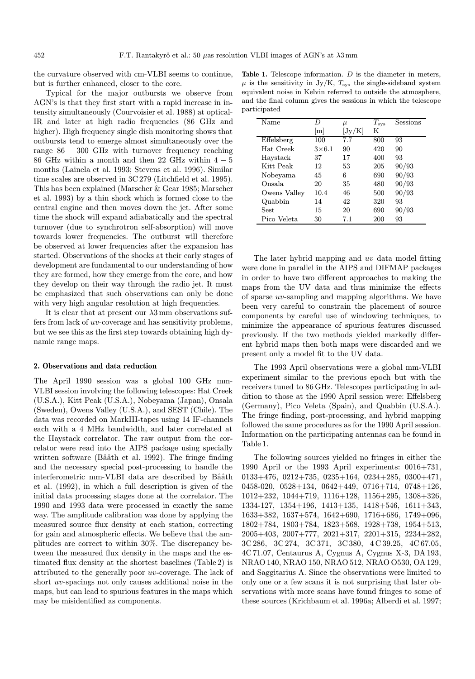the curvature observed with cm-VLBI seems to continue, but is further enhanced, closer to the core.

Typical for the major outbursts we observe from AGN's is that they first start with a rapid increase in intensity simultaneously (Courvoisier et al. 1988) at optical-IR and later at high radio frequencies (86 GHz and higher). High frequency single dish monitoring shows that outbursts tend to emerge almost simultaneously over the range 86 − 300 GHz with turnover frequency reaching 86 GHz within a month and then 22 GHz within  $4-5$ months (Lainela et al. 1993; Stevens et al. 1996). Similar time scales are observed in 3C 279 (Litchfield et al. 1995). This has been explained (Marscher & Gear 1985; Marscher et al. 1993) by a thin shock which is formed close to the central engine and then moves down the jet. After some time the shock will expand adiabatically and the spectral turnover (due to synchrotron self-absorption) will move towards lower frequencies. The outburst will therefore be observed at lower frequencies after the expansion has started. Observations of the shocks at their early stages of development are fundamental to our understanding of how they are formed, how they emerge from the core, and how they develop on their way through the radio jet. It must be emphasized that such observations can only be done with very high angular resolution at high frequencies.

It is clear that at present our  $\lambda 3$  mm observations suffers from lack of uv-coverage and has sensitivity problems, but we see this as the first step towards obtaining high dynamic range maps.

#### 2. Observations and data reduction

The April 1990 session was a global 100 GHz mm-VLBI session involving the following telescopes: Hat Creek (U.S.A.), Kitt Peak (U.S.A.), Nobeyama (Japan), Onsala (Sweden), Owens Valley (U.S.A.), and SEST (Chile). The data was recorded on MarkIII-tapes using 14 IF-channels each with a 4 MHz bandwidth, and later correlated at the Haystack correlator. The raw output from the correlator were read into the AIPS package using specially written software (Bååth et al. 1992). The fringe finding and the necessary special post-processing to handle the interferometric mm-VLBI data are described by Bååth et al. (1992), in which a full description is given of the initial data processing stages done at the correlator. The 1990 and 1993 data were processed in exactly the same way. The amplitude calibration was done by applying the measured source flux density at each station, correcting for gain and atmospheric effects. We believe that the amplitudes are correct to within 30%. The discrepancy between the measured flux density in the maps and the estimated flux density at the shortest baselines (Table 2) is attributed to the generally poor uv-coverage. The lack of short uv-spacings not only causes additional noise in the maps, but can lead to spurious features in the maps which may be misidentified as components.

Table 1. Telescope information. D is the diameter in meters,  $\mu$  is the sensitivity in Jy/K,  $T_{\text{sys}}$  the single-sideband system equivalent noise in Kelvin referred to outside the atmosphere, and the final column gives the sessions in which the telescope participated

| Name         | D             | $\mu$        | $T_{\rm sys}$ | Sessions |
|--------------|---------------|--------------|---------------|----------|
|              | m             | $\rm  Jy/K $ | K             |          |
| Effelsberg   | 100           | 7.7          | 800           | 93       |
| Hat Creek    | $3\times 6.1$ | 90           | 420           | 90       |
| Haystack     | 37            | 17           | 400           | 93       |
| Kitt Peak    | 12            | 53           | 205           | 90/93    |
| Nobeyama     | 45            | 6            | 690           | 90/93    |
| Onsala       | 20            | 35           | 480           | 90/93    |
| Owens Valley | 10.4          | 46           | 500           | 90/93    |
| Quabbin      | 14            | 42           | 320           | 93       |
| Sest         | 15            | 20           | 690           | 90/93    |
| Pico Veleta  | 30            | 7.1          | 200           | 93       |

The later hybrid mapping and uv data model fitting were done in parallel in the AIPS and DIFMAP packages in order to have two different approaches to making the maps from the UV data and thus minimize the effects of sparse uv-sampling and mapping algorithms. We have been very careful to constrain the placement of source components by careful use of windowing techniques, to minimize the appearance of spurious features discussed previously. If the two methods yielded markedly different hybrid maps then both maps were discarded and we present only a model fit to the UV data.

The 1993 April observations were a global mm-VLBI experiment similar to the previous epoch but with the receivers tuned to 86 GHz. Telescopes participating in addition to those at the 1990 April session were: Effelsberg (Germany), Pico Veleta (Spain), and Quabbin (U.S.A.). The fringe finding, post-processing, and hybrid mapping followed the same procedures as for the 1990 April session. Information on the participating antennas can be found in Table 1.

The following sources yielded no fringes in either the 1990 April or the 1993 April experiments: 0016+731, 0133+476, 0212+735, 0235+164, 0234+285, 0300+471, 0458-020, 0528+134, 0642+449, 0716+714, 0748+126, 1012+232, 1044+719, 1116+128, 1156+295, 1308+326, 1334-127, 1354+196, 1413+135, 1418+546, 1611+343, 1633+382, 1637+574, 1642+690, 1716+686, 1749+096, 1802+784, 1803+784, 1823+568, 1928+738, 1954+513, 2005+403, 2007+777, 2021+317, 2201+315, 2234+282, 3C 286, 3C 274, 3C 371, 3C 380, 4 C 39.25, 4C 67.05, 4C 71.07, Centaurus A, Cygnus A, Cygnus X-3, DA 193, NRAO 140, NRAO 150, NRAO 512, NRAO O530, OA 129, and Saggitarius A. Since the observations were limited to only one or a few scans it is not surprising that later observations with more scans have found fringes to some of these sources (Krichbaum et al. 1996a; Alberdi et al. 1997;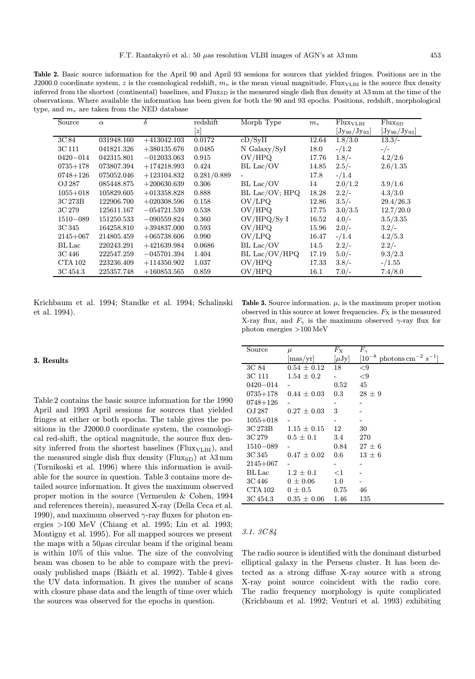Table 2. Basic source information for the April 90 and April 93 sessions for sources that yielded fringes. Positions are in the J2000.0 coordinate system, z is the cosmological redshift,  $m_v$  is the mean visual magnitude, Flux<sub>VLBI</sub> is the source flux density inferred from the shortest (continental) baselines, and Flux<sub>SD</sub> is the measured single dish flux density at  $\lambda$ 3 mm at the time of the observations. Where available the information has been given for both the 90 and 93 epochs. Positions, redshift, morphological type, and  $m_v$  are taken from the NED database

| Source         | $\alpha$   | δ             | redshift        | Morph Type     | $m_{\nu}$ | Flux <sub>VLBI</sub> | $Flux_{SD}$         |
|----------------|------------|---------------|-----------------|----------------|-----------|----------------------|---------------------|
|                |            |               | $\vert z \vert$ |                |           | $[Jy_{90}/Jy_{93}]$  | $[Jy_{90}/Jy_{93}]$ |
| 3C 84          | 031948.160 | $+413042.103$ | 0.0172          | cD/SyII        | 12.64     | 1.8/3.0              | $13.3/-$            |
| 3C 111         | 041821.326 | $+380135.676$ | 0.0485          | $N$ Galaxy/SyI | 18.0      | $-1.2$               | $-/-$               |
| $0420 - 014$   | 042315.801 | $-012033.063$ | 0.915           | OV/HPQ         | 17.76     | $1.8/-$              | 4.2/2.6             |
| $0735 + 178$   | 073807.394 | $+174218.993$ | 0.424           | BL Lac/OV      | 14.85     | $2.5/-$              | 2.6/1.35            |
| $0748 + 126$   | 075052.046 | $+123104.832$ | 0.281/0.889     |                | 17.8      | $-1.4$               |                     |
| OJ 287         | 085448.875 | $+200630.639$ | 0.306           | BL Lac/OV      | 14        | 2.0/1.2              | 3.9/1.6             |
| $1055 + 018$   | 105829.605 | $+013358.828$ | 0.888           | BL Lac/OV; HPQ | 18.28     | $2.2/-$              | 4.3/3.0             |
| 3C 273B        | 122906.700 | $+020308.596$ | 0.158           | OV/LPO         | 12.86     | $3.5/-$              | 29.4/26.3           |
| 3C 279         | 125611.167 | $-054721.539$ | 0.538           | OV/HPQ         | 17.75     | 3.0/3.5              | 12.7/20.0           |
| $1510 - 089$   | 151250.533 | $-090559.824$ | 0.360           | OV/HPQ/Sy I    | 16.52     | $4.0/-$              | 3.5/3.35            |
| 3C 345         | 164258.810 | $+394837.000$ | 0.593           | OV/HPQ         | 15.96     | $2.0/-$              | $3.2/-$             |
| $2145 + 067$   | 214805.459 | $+065738.606$ | 0.990           | OV/LPQ         | 16.47     | $-1.4$               | 4.2/5.3             |
| BL Lac         | 220243.291 | $+421639.984$ | 0.0686          | BL Lac/OV      | 14.5      | $2.2/-$              | $2.2/-$             |
| 3C 446         | 222547.259 | $-045701.394$ | 1.404           | BL Lac/OV/HPQ  | 17.19     | $5.0/-$              | 9.3/2.3             |
| <b>CTA 102</b> | 223236.409 | $+114350.902$ | 1.037           | OV/HPQ         | 17.33     | $3.8/-$              | $- / 1.55$          |
| 3C 454.3       | 225357.748 | $+160853.565$ | 0.859           | OV/HPQ         | 16.1      | $7.0/-$              | 7.4/8.0             |

Krichbaum et al. 1994; Standke et al. 1994; Schalinski et al. 1994).

# 3. Results

Table 2 contains the basic source information for the 1990 April and 1993 April sessions for sources that yielded fringes at either or both epochs. The table gives the positions in the J2000.0 coordinate system, the cosmological red-shift, the optical magnitude, the source flux density inferred from the shortest baselines ( $Flux<sub>VLBI</sub>$ ), and the measured single dish flux density (Flux<sub>SD</sub>) at  $\lambda$ 3 mm (Tornikoski et al. 1996) where this information is available for the source in question. Table 3 contains more detailed source information. It gives the maximum observed proper motion in the source (Vermeulen & Cohen, 1994 and references therein), measured X-ray (Della Ceca et al. 1990), and maximum observed  $\gamma$ -ray fluxes for photon energies >100 MeV (Chiang et al. 1995; Lin et al. 1993; Montigny et al. 1995). For all mapped sources we present the maps with a  $50\mu$ as circular beam if the original beam is within 10% of this value. The size of the convolving beam was chosen to be able to compare with the previously published maps (Bååth et al. 1992). Table 4 gives the UV data information. It gives the number of scans with closure phase data and the length of time over which the sources was observed for the epochs in question.

Table 3. Source information.  $\mu$ , is the maximum proper motion observed in this source at lower frequencies.  $F_X$  is the measured X-ray flux, and  $F_{\gamma}$  is the maximum observed  $\gamma$ -ray flux for photon energies >100 MeV

| Source       | $\mu$           | $F_{\rm X}$ | $F_{\gamma}$                                   |
|--------------|-----------------|-------------|------------------------------------------------|
|              | mas/yr          | $[\mu Jy]$  | $\rm photons\,cm^{-2}\ s^{-1}]$<br>$[10^{-8}]$ |
| 3C 84        | $0.54 \pm 0.12$ | 18          | ${<}9$                                         |
| 3C 111       | $1.54 \pm 0.2$  |             | ${<}9$                                         |
| $0420 - 014$ |                 | 0.52        | 45                                             |
| $0735 + 178$ | $0.44 \pm 0.03$ | 0.3         | $28 \pm 9$                                     |
| 0748+126     |                 |             |                                                |
| OJ 287       | $0.27 \pm 0.03$ | 3           |                                                |
| $1055 + 018$ |                 |             |                                                |
| 3C 273B      | $1.15 \pm 0.15$ | 12          | 30                                             |
| 3C 279       | $0.5 \pm 0.1$   | 3.4         | 270                                            |
| $1510 - 089$ |                 | 0.84        | $27 \pm 6$                                     |
| 3C 345       | $0.47 \pm 0.02$ | 0.6         | $13 \pm 6$                                     |
| $2145 + 067$ |                 |             |                                                |
| $BL$ Lac     | $1.2 \pm 0.1$   | ${<}1$      |                                                |
| 3C 446       | $0 \pm 0.06$    | 1.0         |                                                |
| CTA 102      | $0\pm0.5$       | 0.75        | 46                                             |
| 3C 454.3     | $0.35 \pm 0.06$ | 1.46        | 135                                            |

#### 3.1. 3C 84

The radio source is identified with the dominant disturbed elliptical galaxy in the Perseus cluster. It has been detected as a strong diffuse X-ray source with a strong X-ray point source coincident with the radio core. The radio frequency morphology is quite complicated (Krichbaum et al. 1992; Venturi et al. 1993) exhibiting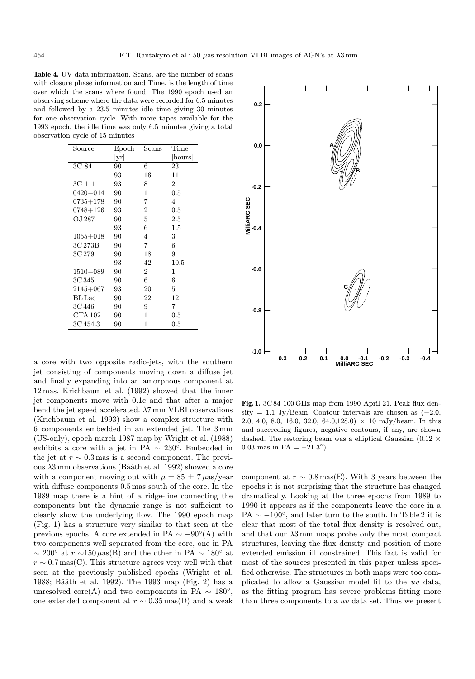Table 4. UV data information. Scans, are the number of scans with closure phase information and Time, is the length of time over which the scans where found. The 1990 epoch used an observing scheme where the data were recorded for 6.5 minutes and followed by a 23.5 minutes idle time giving 30 minutes for one observation cycle. With more tapes available for the 1993 epoch, the idle time was only 6.5 minutes giving a total observation cycle of 15 minutes

| $_{\rm Source}$ | Epoch | $_{\rm Scans}$ | Time    |
|-----------------|-------|----------------|---------|
|                 | yr    |                | hours   |
| 3C 84           | 90    | 6              | 23      |
|                 | 93    | 16             | 11      |
| 3C 111          | 93    | 8              | 2       |
| 0420-014        | 90    | 1              | 0.5     |
| $0735 + 178$    | 90    | 7              | 4       |
| 0748+126        | 93    | 2              | 0.5     |
| OJ 287          | 90    | 5              | 2.5     |
|                 | 93    | 6              | $1.5\,$ |
| $1055 + 018$    | 90    | 4              | 3       |
| 3C 273B         | 90    | 7              | 6       |
| 3C 279          | 90    | 18             | 9       |
|                 | 93    | 42             | 10.5    |
| $1510 - 089$    | 90    | 2              | 1       |
| 3C 345          | 90    | 6              | 6       |
| $2145 + 067$    | 93    | 20             | 5       |
| $BL$ Lac        | 90    | 22             | 12      |
| 3C 446          | 90    | 9              | 7       |
| CTA 102         | 90    | 1              | $0.5\,$ |
| 3C 454.3        | 90    | 1              | $0.5\,$ |

a core with two opposite radio-jets, with the southern jet consisting of components moving down a diffuse jet and finally expanding into an amorphous component at 12 mas. Krichbaum et al. (1992) showed that the inner jet components move with 0.1c and that after a major bend the jet speed accelerated.  $\lambda$ 7 mm VLBI observations (Krichbaum et al. 1993) show a complex structure with 6 components embedded in an extended jet. The 3 mm (US-only), epoch march 1987 map by Wright et al. (1988) exhibits a core with a jet in PA  $\sim 230^{\circ}$ . Embedded in the jet at  $r \sim 0.3$  mas is a second component. The previous  $\lambda$ 3 mm observations (Bååth et al. 1992) showed a core with a component moving out with  $\mu = 85 \pm 7 \,\mu\text{as/year}$ with diffuse components 0.5 mas south of the core. In the 1989 map there is a hint of a ridge-line connecting the components but the dynamic range is not sufficient to clearly show the underlying flow. The 1990 epoch map (Fig. 1) has a structure very similar to that seen at the previous epochs. A core extended in PA  $\sim -90^{\circ}$ (A) with two components well separated from the core, one in PA  $\sim 200^{\circ}$  at  $r \sim 150 \,\mu\text{as(B)}$  and the other in PA  $\sim 180^{\circ}$  at  $r \sim 0.7 \,\text{mas}(C)$ . This structure agrees very well with that seen at the previously published epochs (Wright et al. 1988; Bååth et al. 1992). The 1993 map (Fig. 2) has a unresolved core(A) and two components in PA  $\sim 180^{\circ}$ , one extended component at  $r \sim 0.35 \text{mas}(D)$  and a weak



Fig. 1. 3C 84 100 GHz map from 1990 April 21. Peak flux density = 1.1 Jy/Beam. Contour intervals are chosen as  $(-2.0,$ 2.0, 4.0, 8.0, 16.0, 32.0, 64.0, 128.0)  $\times$  10 mJy/beam. In this and succeeding figures, negative contours, if any, are shown dashed. The restoring beam was a elliptical Gaussian (0.12  $\times$ 0.03 mas in PA =  $-21.3°$ )

component at  $r \sim 0.8 \text{ mas}(E)$ . With 3 years between the epochs it is not surprising that the structure has changed dramatically. Looking at the three epochs from 1989 to 1990 it appears as if the components leave the core in a PA  $\sim -100^{\circ}$ , and later turn to the south. In Table 2 it is clear that most of the total flux density is resolved out, and that our  $\lambda$ 3 mm maps probe only the most compact structures, leaving the flux density and position of more extended emission ill constrained. This fact is valid for most of the sources presented in this paper unless specified otherwise. The structures in both maps were too complicated to allow a Gaussian model fit to the uv data, as the fitting program has severe problems fitting more than three components to a uv data set. Thus we present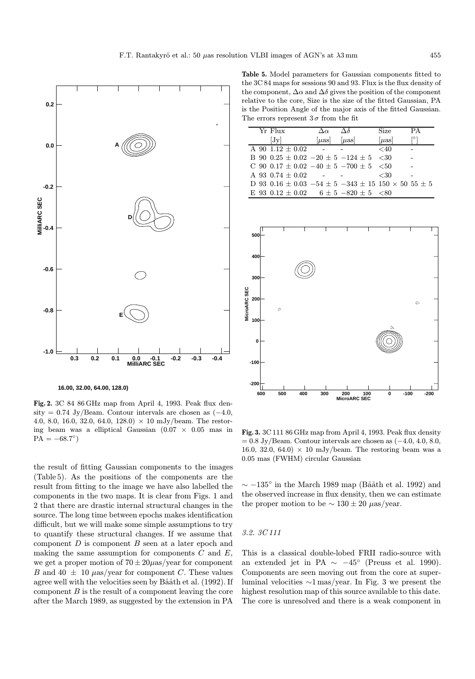

 **16.00, 32.00, 64.00, 128.0)**

Fig. 2. 3C 84 86 GHz map from April 4, 1993. Peak flux density = 0.74 Jy/Beam. Contour intervals are chosen as  $(-4.0,$ 4.0, 8.0, 16.0, 32.0, 64.0, 128.0)  $\times$  10 mJy/beam. The restoring beam was a elliptical Gaussian  $(0.07 \times 0.05$  mas in  $PA = -68.7°$ 

the result of fitting Gaussian components to the images (Table 5). As the positions of the components are the result from fitting to the image we have also labelled the components in the two maps. It is clear from Figs. 1 and 2 that there are drastic internal structural changes in the source. The long time between epochs makes identification difficult, but we will make some simple assumptions to try to quantify these structural changes. If we assume that component  $D$  is component  $B$  seen at a later epoch and making the same assumption for components  $C$  and  $E$ , we get a proper motion of  $70 \pm 20 \mu$ as/year for component B and  $40 \pm 10 \ \mu$ as/year for component C. These values agree well with the velocities seen by Bååth et al. (1992). If component  $B$  is the result of a component leaving the core after the March 1989, as suggested by the extension in PA

Table 5. Model parameters for Gaussian components fitted to the 3C 84 maps for sessions 90 and 93. Flux is the flux density of the component,  $\Delta \alpha$  and  $\Delta \delta$  gives the position of the component relative to the core, Size is the size of the fitted Gaussian, PA is the Position Angle of the major axis of the fitted Gaussian. The errors represent  $3\sigma$  from the fit

| Yr Flux                                                                   | $\Delta \alpha$ | $\Delta\delta$ | <b>Size</b> | PА |
|---------------------------------------------------------------------------|-----------------|----------------|-------------|----|
| Jv                                                                        | uas             | $\mu$ as       | $[\mu as]$  |    |
| A 90 $1.12 \pm 0.02$                                                      |                 |                | ${<}40$     |    |
| B 90 0.25 $\pm$ 0.02 $-20 \pm 5 -124 \pm 5 < 30$                          |                 |                |             |    |
| C 90 0.17 $\pm$ 0.02 $-40 \pm 5$ $-700 \pm 5$ $< 50$                      |                 |                |             |    |
| A 93 0.74 $\pm$ 0.02                                                      |                 |                | ${<}30$     |    |
| D 93 0.16 $\pm$ 0.03 -54 $\pm$ 5 -343 $\pm$ 15 150 $\times$ 50 55 $\pm$ 5 |                 |                |             |    |
| E 93 0.12 $\pm$ 0.02 6 $\pm$ 5 -820 $\pm$ 5 <80                           |                 |                |             |    |



Fig. 3. 3C 111 86 GHz map from April 4, 1993. Peak flux density  $= 0.8$  Jy/Beam. Contour intervals are chosen as  $(-4.0, 4.0, 8.0,$ 16.0, 32.0, 64.0)  $\times$  10 mJy/beam. The restoring beam was a 0.05 mas (FWHM) circular Gaussian

 $\sim$  −135° in the March 1989 map (Bååth et al. 1992) and the observed increase in flux density, then we can estimate the proper motion to be  $\sim 130 \pm 20 \ \mu$ as/year.

# 3.2. 3C 111

This is a classical double-lobed FRII radio-source with an extended jet in PA  $\sim -45^{\circ}$  (Preuss et al. 1990). Components are seen moving out from the core at superluminal velocities ∼1 mas/year. In Fig. 3 we present the highest resolution map of this source available to this date. The core is unresolved and there is a weak component in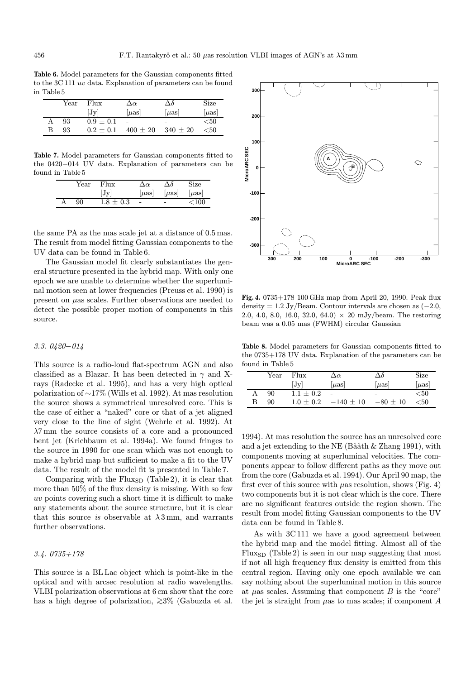Table 6. Model parameters for the Gaussian components fitted to the 3C 111 uv data. Explanation of parameters can be found in Table 5

|   | $\operatorname{Year}$ | Flux          | $\Delta \alpha$ | $\Delta \delta$          | Size      |
|---|-----------------------|---------------|-----------------|--------------------------|-----------|
|   |                       | Jv            | $ \mu$ as       | $ \mu$ as                | $ \mu$ as |
|   | 93                    | $0.9 \pm 0.1$ |                 | $\overline{\phantom{0}}$ | $50$      |
| в | 93                    | $0.2 + 0.1$   | $400 \pm 20$    | $340 \pm 20$             | $<\!\!50$ |

Table 7. Model parameters for Gaussian components fitted to the 0420−014 UV data. Explanation of parameters can be found in Table 5

| $\operatorname{Year}$ | Flux          | Δœ                       | Aδ                       | Size      |
|-----------------------|---------------|--------------------------|--------------------------|-----------|
|                       | [Jv]          | $\mu$ as                 | $ \mu$ as                | $ \mu$ as |
| 90                    | $1.8 \pm 0.3$ | $\overline{\phantom{a}}$ | $\overline{\phantom{0}}$ | ${<}100$  |

the same PA as the mas scale jet at a distance of 0.5 mas. The result from model fitting Gaussian components to the UV data can be found in Table 6.

The Gaussian model fit clearly substantiates the general structure presented in the hybrid map. With only one epoch we are unable to determine whether the superluminal motion seen at lower frequencies (Preuss et al. 1990) is present on µas scales. Further observations are needed to detect the possible proper motion of components in this source.

# 3.3. 0420−014

This source is a radio-loud flat-spectrum AGN and also classified as a Blazar. It has been detected in  $\gamma$  and Xrays (Radecke et al. 1995), and has a very high optical polarization of ∼17% (Wills et al. 1992). At mas resolution the source shows a symmetrical unresolved core. This is the case of either a "naked" core or that of a jet aligned very close to the line of sight (Wehrle et al. 1992). At  $\lambda$ 7 mm the source consists of a core and a pronounced bent jet (Krichbaum et al. 1994a). We found fringes to the source in 1990 for one scan which was not enough to make a hybrid map but sufficient to make a fit to the UV data. The result of the model fit is presented in Table 7.

Comparing with the  $Flux<sub>SD</sub>$  (Table 2), it is clear that more than 50% of the flux density is missing. With so few uv points covering such a short time it is difficult to make any statements about the source structure, but it is clear that this source is observable at  $\lambda$ 3 mm, and warrants further observations.

# 3.4. 0735+178

This source is a BL Lac object which is point-like in the optical and with arcsec resolution at radio wavelengths. VLBI polarization observations at 6 cm show that the core has a high degree of polarization,  $\gtrsim$ 3% (Gabuzda et al.



Fig. 4. 0735+178 100 GHz map from April 20, 1990. Peak flux density = 1.2 Jy/Beam. Contour intervals are chosen as  $(-2.0,$ 2.0, 4.0, 8.0, 16.0, 32.0, 64.0)  $\times$  20 mJy/beam. The restoring beam was a 0.05 mas (FWHM) circular Gaussian

Table 8. Model parameters for Gaussian components fitted to the 0735+178 UV data. Explanation of the parameters can be found in Table 5

|   | Year | Flux          | $\Delta \alpha$ | Δδ                       | Size      |
|---|------|---------------|-----------------|--------------------------|-----------|
|   |      | Jv            | $ \mu$ as       | $ \mu$ as                | $ \mu$ as |
| A | 90   | $1.1 + 0.2$   |                 | $\overline{\phantom{0}}$ | $50$      |
| В | 90   | $1.0 \pm 0.2$ | $-140 \pm 10$   | $-80 \pm 10$             | < 50      |

1994). At mas resolution the source has an unresolved core and a jet extending to the NE (Bååth & Zhang 1991), with components moving at superluminal velocities. The components appear to follow different paths as they move out from the core (Gabuzda et al. 1994). Our April 90 map, the first ever of this source with  $\mu$ as resolution, shows (Fig. 4) two components but it is not clear which is the core. There are no significant features outside the region shown. The result from model fitting Gaussian components to the UV data can be found in Table 8.

As with 3C 111 we have a good agreement between the hybrid map and the model fitting. Almost all of the  $Flux<sub>SD</sub>$  (Table 2) is seen in our map suggesting that most if not all high frequency flux density is emitted from this central region. Having only one epoch available we can say nothing about the superluminal motion in this source at  $\mu$ as scales. Assuming that component  $B$  is the "core" the jet is straight from  $\mu$ as to mas scales; if component A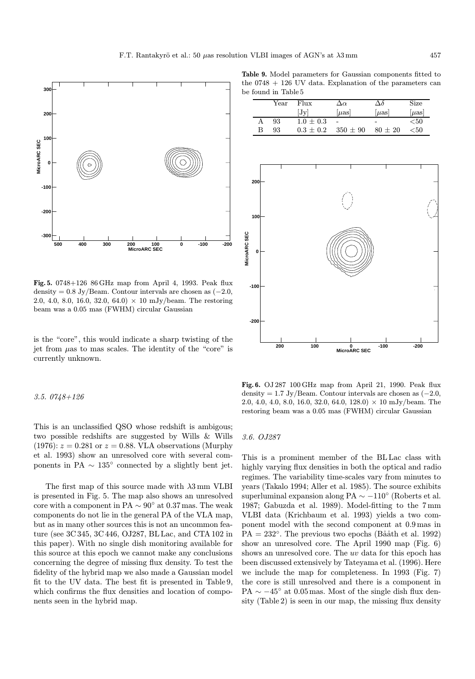Year Flux  $\Delta \alpha$   $\Delta \delta$  Size  $[Jy]$   $[\mu \text{as}]$   $[\mu \text{as}]$   $[\mu \text{as}]$ 

A  $93 \t 1.0 \pm 0.3$  -  $\lt 50$ B 93  $0.3 \pm 0.2$   $350 \pm 90$   $80 \pm 20$   $< 50$ 



Fig. 5. 0748+126 86 GHz map from April 4, 1993. Peak flux density =  $0.8$  Jy/Beam. Contour intervals are chosen as  $(-2.0,$ 2.0, 4.0, 8.0, 16.0, 32.0, 64.0)  $\times$  10 mJy/beam. The restoring beam was a 0.05 mas (FWHM) circular Gaussian

is the "core", this would indicate a sharp twisting of the jet from  $\mu$ as to mas scales. The identity of the "core" is currently unknown.

## 3.5. 0748+126

**MicroARC SEC**

MicroARC SEC

This is an unclassified QSO whose redshift is ambigous; two possible redshifts are suggested by Wills & Wills  $(1976): z = 0.281$  or  $z = 0.88$ . VLA observations (Murphy et al. 1993) show an unresolved core with several components in PA  $\sim 135^{\circ}$  connected by a slightly bent jet.

The first map of this source made with  $\lambda 3$  mm VLBI is presented in Fig. 5. The map also shows an unresolved core with a component in PA  $\sim 90^{\circ}$  at 0.37 mas. The weak components do not lie in the general PA of the VLA map, but as in many other sources this is not an uncommon feature (see 3C 345, 3C 446, OJ287, BL Lac, and CTA 102 in this paper). With no single dish monitoring available for this source at this epoch we cannot make any conclusions concerning the degree of missing flux density. To test the fidelity of the hybrid map we also made a Gaussian model fit to the UV data. The best fit is presented in Table 9, which confirms the flux densities and location of components seen in the hybrid map.



**MicroARC SEC 200 100 0 -100 -200**

Fig. 6. OJ 287 100 GHz map from April 21, 1990. Peak flux density = 1.7 Jy/Beam. Contour intervals are chosen as  $(-2.0,$ 2.0, 4.0, 4.0, 8.0, 16.0, 32.0, 64.0, 128.0)  $\times$  10 mJy/beam. The restoring beam was a 0.05 mas (FWHM) circular Gaussian

# 3.6. OJ287

This is a prominent member of the BL Lac class with highly varying flux densities in both the optical and radio regimes. The variability time-scales vary from minutes to years (Takalo 1994; Aller et al. 1985). The source exhibits superluminal expansion along PA  $\sim -110^{\circ}$  (Roberts et al. 1987; Gabuzda et al. 1989). Model-fitting to the 7 mm VLBI data (Krichbaum et al. 1993) yields a two component model with the second component at 0.9 mas in  $PA = 232^{\circ}$ . The previous two epochs (Bååth et al. 1992) show an unresolved core. The April 1990 map (Fig. 6) shows an unresolved core. The uv data for this epoch has been discussed extensively by Tateyama et al. (1996). Here we include the map for completeness. In 1993 (Fig. 7) the core is still unresolved and there is a component in PA  $\sim -45^{\circ}$  at 0.05 mas. Most of the single dish flux density (Table 2) is seen in our map, the missing flux density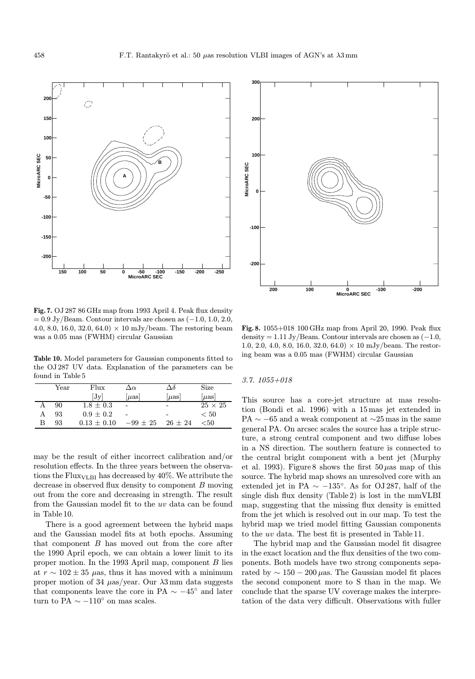

Fig. 7. OJ 287 86 GHz map from 1993 April 4. Peak flux density  $= 0.9$  Jy/Beam. Contour intervals are chosen as  $(-1.0, 1.0, 2.0,$ 4.0, 8.0, 16.0, 32.0, 64.0)  $\times$  10 mJy/beam. The restoring beam was a 0.05 mas (FWHM) circular Gaussian

Table 10. Model parameters for Gaussian components fitted to the OJ 287 UV data. Explanation of the parameters can be found in Table 5

|   | $\operatorname{Year}$ | Flux          | $\Delta \alpha$ | Δδ                       | Size           |
|---|-----------------------|---------------|-----------------|--------------------------|----------------|
|   |                       | [Jv]          | $ \mu$ as       | $ \mu$ as                | $ \mu$ as      |
|   | 90                    | $1.8 \pm 0.3$ |                 | -                        | $25 \times 25$ |
| А | 93                    | $0.9 \pm 0.2$ |                 | $\overline{\phantom{0}}$ | < 50           |
| R | 93                    | $0.13 + 0.10$ | $-99 \pm 25$    | $26 + 24$                | ${<}50$        |

may be the result of either incorrect calibration and/or resolution effects. In the three years between the observations the Flux $_{\text{VLBI}}$  has decreased by 40%. We attribute the decrease in observed flux density to component B moving out from the core and decreasing in strength. The result from the Gaussian model fit to the uv data can be found in Table 10.

There is a good agreement between the hybrid maps and the Gaussian model fits at both epochs. Assuming that component B has moved out from the core after the 1990 April epoch, we can obtain a lower limit to its proper motion. In the 1993 April map, component B lies at  $r \sim 102 \pm 35$  µas, thus it has moved with a minimum proper motion of 34  $\mu$ as/year. Our  $\lambda$ 3 mm data suggests that components leave the core in PA  $\sim -45^{\circ}$  and later turn to PA $\sim -110^{\circ}$ on mas scales.



Fig. 8. 1055+018 100 GHz map from April 20, 1990. Peak flux density = 1.11 Jy/Beam. Contour intervals are chosen as  $(-1.0,$ 1.0, 2.0, 4.0, 8.0, 16.0, 32.0, 64.0)  $\times$  10 mJy/beam. The restoring beam was a 0.05 mas (FWHM) circular Gaussian

#### 3.7. 1055+018

This source has a core-jet structure at mas resolution (Bondi et al. 1996) with a 15 mas jet extended in PA  $\sim$  −65 and a weak component at ∼25 mas in the same general PA. On arcsec scales the source has a triple structure, a strong central component and two diffuse lobes in a NS direction. The southern feature is connected to the central bright component with a bent jet (Murphy et al. 1993). Figure 8 shows the first  $50 \mu$ as map of this source. The hybrid map shows an unresolved core with an extended jet in PA  $\sim -135^{\circ}$ . As for OJ 287, half of the single dish flux density (Table 2) is lost in the mmVLBI map, suggesting that the missing flux density is emitted from the jet which is resolved out in our map. To test the hybrid map we tried model fitting Gaussian components to the uv data. The best fit is presented in Table 11.

The hybrid map and the Gaussian model fit disagree in the exact location and the flux densities of the two components. Both models have two strong components separated by  $\sim 150 - 200 \,\mu$ as. The Gaussian model fit places the second component more to S than in the map. We conclude that the sparse UV coverage makes the interpretation of the data very difficult. Observations with fuller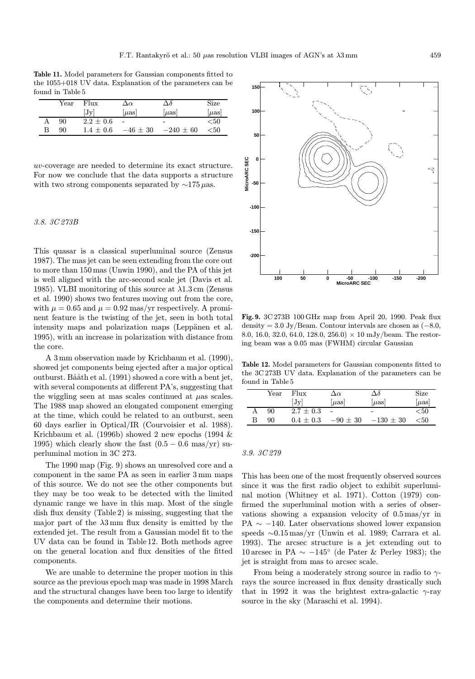Table 11. Model parameters for Gaussian components fitted to the 1055+018 UV data. Explanation of the parameters can be found in Table 5

|   | Year | Flux          | $\Delta \alpha$          | $\Delta\delta$           | Size                 |
|---|------|---------------|--------------------------|--------------------------|----------------------|
|   |      | Jv            | $ \mu$ as                | $ \mu$ as                | $ \mu$ as            |
| А | 90   | $2.2 \pm 0.6$ | $\overline{\phantom{a}}$ | $\overline{\phantom{0}}$ | $< \negthinspace 50$ |
| В | 90   | $1.4 \pm 0.6$ | $-46 \pm 30$             | $-240 \pm 60$            | $<\!\!50$            |

uv-coverage are needed to determine its exact structure. For now we conclude that the data supports a structure with two strong components separated by  $\sim$ 175µas.

# 3.8. 3C 273B

This quasar is a classical superluminal source (Zensus 1987). The mas jet can be seen extending from the core out to more than 150 mas (Unwin 1990), and the PA of this jet is well aligned with the arc-second scale jet (Davis et al. 1985). VLBI monitoring of this source at  $\lambda$ 1.3 cm (Zensus et al. 1990) shows two features moving out from the core, with  $\mu = 0.65$  and  $\mu = 0.92$  mas/yr respectively. A prominent feature is the twisting of the jet, seen in both total intensity maps and polarization maps (Leppänen et al. 1995), with an increase in polarization with distance from the core.

A 3 mm observation made by Krichbaum et al. (1990), showed jet components being ejected after a major optical outburst. Bååth et al. (1991) showed a core with a bent jet, with several components at different PA's, suggesting that the wiggling seen at mas scales continued at  $\mu$ as scales. The 1988 map showed an elongated component emerging at the time, which could be related to an outburst, seen 60 days earlier in Optical/IR (Courvoisier et al. 1988). Krichbaum et al. (1996b) showed 2 new epochs (1994 & 1995) which clearly show the fast  $(0.5 - 0.6 \text{ mas/yr})$  superluminal motion in 3C 273.

The 1990 map (Fig. 9) shows an unresolved core and a component in the same PA as seen in earlier 3 mm maps of this source. We do not see the other components but they may be too weak to be detected with the limited dynamic range we have in this map. Most of the single dish flux density (Table 2) is missing, suggesting that the major part of the  $\lambda$ 3 mm flux density is emitted by the extended jet. The result from a Gaussian model fit to the UV data can be found in Table 12. Both methods agree on the general location and flux densities of the fitted components.

We are unable to determine the proper motion in this source as the previous epoch map was made in 1998 March and the structural changes have been too large to identify the components and determine their motions.



Fig. 9. 3C 273B 100 GHz map from April 20, 1990. Peak flux density = 3.0 Jy/Beam. Contour intervals are chosen as  $(-8.0,$ 8.0, 16.0, 32.0, 64.0, 128.0, 256.0)  $\times$  10 mJy/beam. The restoring beam was a 0.05 mas (FWHM) circular Gaussian

Table 12. Model parameters for Gaussian components fitted to the 3C 273B UV data. Explanation of the parameters can be found in Table 5

|   | Year | Flux          | $\Delta \alpha$          | Δδ            | Size      |
|---|------|---------------|--------------------------|---------------|-----------|
|   |      | Jv            | $ \mu$ as                | $ \mu$ as     | $ \mu$ as |
|   | 90   | $2.7 \pm 0.3$ | $\overline{\phantom{a}}$ | -             | < 50      |
| в | 90   | $0.4 + 0.3$   | $-90\,\pm\,30$           | $-130 \pm 30$ | ${<}50$   |

#### 3.9. 3C 279

This has been one of the most frequently observed sources since it was the first radio object to exhibit superluminal motion (Whitney et al. 1971). Cotton (1979) confirmed the superluminal motion with a series of observations showing a expansion velocity of 0.5 mas/yr in PA  $\sim$  −140. Later observations showed lower expansion speeds ∼0.15 mas/yr (Unwin et al. 1989; Carrara et al. 1993). The arcsec structure is a jet extending out to 10 arcsec in PA  $\sim -145^{\circ}$  (de Pater & Perley 1983); the jet is straight from mas to arcsec scale.

From being a moderately strong source in radio to  $\gamma$ rays the source increased in flux density drastically such that in 1992 it was the brightest extra-galactic  $\gamma$ -ray source in the sky (Maraschi et al. 1994).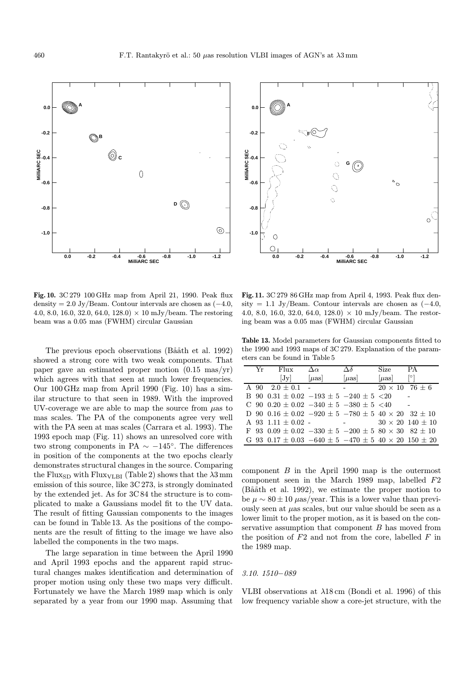Fig. 10. 3C 279 100 GHz map from April 21, 1990. Peak flux density = 2.0 Jy/Beam. Contour intervals are chosen as  $(-4.0,$ 4.0, 8.0, 16.0, 32.0, 64.0, 128.0)  $\times$  10 mJy/beam. The restoring beam was a 0.05 mas (FWHM) circular Gaussian

The previous epoch observations (Bååth et al. 1992) showed a strong core with two weak components. That paper gave an estimated proper motion (0.15 mas/yr) which agrees with that seen at much lower frequencies. Our 100 GHz map from April 1990 (Fig. 10) has a similar structure to that seen in 1989. With the improved UV-coverage we are able to map the source from  $\mu$ as to mas scales. The PA of the components agree very well with the PA seen at mas scales (Carrara et al. 1993). The 1993 epoch map (Fig. 11) shows an unresolved core with two strong components in PA  $\sim -145^{\circ}$ . The differences in position of the components at the two epochs clearly demonstrates structural changes in the source. Comparing the Flux<sub>SD</sub> with Flux<sub>VLBI</sub> (Table 2) shows that the  $\lambda$ 3 mm emission of this source, like 3C 273, is strongly dominated by the extended jet. As for 3C 84 the structure is to complicated to make a Gaussians model fit to the UV data. The result of fitting Gaussian components to the images can be found in Table 13. As the positions of the components are the result of fitting to the image we have also labelled the components in the two maps.

The large separation in time between the April 1990 and April 1993 epochs and the apparent rapid structural changes makes identification and determination of proper motion using only these two maps very difficult. Fortunately we have the March 1989 map which is only separated by a year from our 1990 map. Assuming that

Fig. 11. 3C 279 86 GHz map from April 4, 1993. Peak flux density = 1.1 Jy/Beam. Contour intervals are chosen as  $(-4.0,$ 4.0, 8.0, 16.0, 32.0, 64.0, 128.0)  $\times$  10 mJy/beam. The restoring beam was a 0.05 mas (FWHM) circular Gaussian

Table 13. Model parameters for Gaussian components fitted to the 1990 and 1993 maps of 3C 279. Explanation of the parameters can be found in Table 5

| Yr | Flux                                                                      | $\Delta \alpha$ | Δδ                       | Size                  | PA.                         |
|----|---------------------------------------------------------------------------|-----------------|--------------------------|-----------------------|-----------------------------|
|    | $ J_V $                                                                   | $ u$ as         | $[\mu$ as                | $[\mu$ as             |                             |
|    | A 90 $2.0 + 0.1$ -                                                        |                 |                          | $20 \times 10$ 76 ± 6 |                             |
|    | B 90 $0.31 \pm 0.02 -193 \pm 5 -240 \pm 5$ <20                            |                 |                          |                       |                             |
|    | C 90 $0.20 \pm 0.02 -340 \pm 5 -380 \pm 5$ <40                            |                 |                          |                       |                             |
|    | D 90 0.16 $\pm$ 0.02 -920 $\pm$ 5 -780 $\pm$ 5 40 $\times$ 20 32 $\pm$ 10 |                 |                          |                       |                             |
|    | A 93 1.11 $\pm$ 0.02 -                                                    |                 | <b>Contract Contract</b> |                       | $30 \times 20$ 140 $\pm$ 10 |
|    | F 93 $0.09 \pm 0.02 -330 \pm 5 -200 \pm 5$ 80 $\times$ 30 82 $\pm$ 10     |                 |                          |                       |                             |
|    | G 93 $0.17 \pm 0.03 -640 \pm 5 -470 \pm 5 40 \times 20 150 \pm 20$        |                 |                          |                       |                             |

component  $B$  in the April 1990 map is the outermost component seen in the March 1989 map, labelled F2  $(Ba\aa th$  et al. 1992), we estimate the proper motion to be  $\mu \sim 80 \pm 10 \ \mu$ as/year. This is a lower value than previously seen at  $\mu$ as scales, but our value should be seen as a lower limit to the proper motion, as it is based on the conservative assumption that component  $B$  has moved from the position of  $F2$  and not from the core, labelled  $F$  in the 1989 map.

#### 3.10. 1510−089

VLBI observations at  $\lambda$ 18 cm (Bondi et al. 1996) of this low frequency variable show a core-jet structure, with the



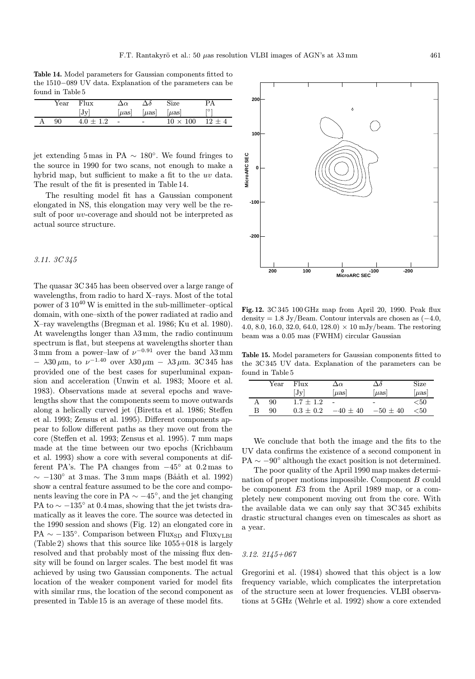Table 14. Model parameters for Gaussian components fitted to the 1510−089 UV data. Explanation of the parameters can be found in Table 5

| $\operatorname{Year}$ | Flux          | Δœ                            | $\Delta\delta$ | Size            | PА       |
|-----------------------|---------------|-------------------------------|----------------|-----------------|----------|
|                       | [Jv]          | $\left[\mu\mathrm{as}\right]$ | $\mu$ as       | $ \mu$ as       | [°]      |
| 90                    | $4.0 \pm 1.2$ | $\overline{\phantom{a}}$      | $\sim$         | $10 \times 100$ | $12 + 4$ |

jet extending 5 mas in PA  $\sim$  180<sup>°</sup>. We found fringes to the source in 1990 for two scans, not enough to make a hybrid map, but sufficient to make a fit to the uv data. The result of the fit is presented in Table 14.

The resulting model fit has a Gaussian component elongated in NS, this elongation may very well be the result of poor uv-coverage and should not be interpreted as actual source structure.

# 3.11. 3C 345

The quasar 3C 345 has been observed over a large range of wavelengths, from radio to hard X–rays. Most of the total power of 3 10<sup>40</sup> W is emitted in the sub-millimeter–optical domain, with one–sixth of the power radiated at radio and X–ray wavelengths (Bregman et al. 1986; Ku et al. 1980). At wavelengths longer than  $\lambda 3$  mm, the radio continuum spectrum is flat, but steepens at wavelengths shorter than 3 mm from a power–law of  $\nu^{-0.91}$  over the band  $\lambda$ 3 mm  $- \lambda 30 \mu$ m, to  $\nu^{-1.40}$  over  $\lambda 30 \mu$ m  $- \lambda 3 \mu$ m. 3C 345 has provided one of the best cases for superluminal expansion and acceleration (Unwin et al. 1983; Moore et al. 1983). Observations made at several epochs and wavelengths show that the components seem to move outwards along a helically curved jet (Biretta et al. 1986; Steffen et al. 1993; Zensus et al. 1995). Different components appear to follow different paths as they move out from the core (Steffen et al. 1993; Zensus et al. 1995). 7 mm maps made at the time between our two epochs (Krichbaum et al. 1993) show a core with several components at different PA's. The PA changes from  $-45^\circ$  at 0.2 mas to  $\sim$  −130° at 3 mas. The 3 mm maps (Bååth et al. 1992) show a central feature assumed to be the core and components leaving the core in PA  $\sim -45^{\circ}$ , and the jet changing PA to  $\sim -135^{\circ}$  at 0.4 mas, showing that the jet twists dramatically as it leaves the core. The source was detected in the 1990 session and shows (Fig. 12) an elongated core in PA  $\sim -135^{\circ}$ . Comparison between Flux<sub>SD</sub> and Flux<sub>VLBI</sub> (Table 2) shows that this source like 1055+018 is largely resolved and that probably most of the missing flux density will be found on larger scales. The best model fit was achieved by using two Gaussian components. The actual location of the weaker component varied for model fits with similar rms, the location of the second component as presented in Table 15 is an average of these model fits.

Fig. 12. 3C 345 100 GHz map from April 20, 1990. Peak flux density = 1.8 Jy/Beam. Contour intervals are chosen as  $(-4.0,$ 4.0, 8.0, 16.0, 32.0, 64.0, 128.0)  $\times$  10 mJy/beam. The restoring beam was a 0.05 mas (FWHM) circular Gaussian

Table 15. Model parameters for Gaussian components fitted to the 3C 345 UV data. Explanation of the parameters can be found in Table 5

|   | Year | Flux          | $\Delta \alpha$ | Δδ                       | Size      |
|---|------|---------------|-----------------|--------------------------|-----------|
|   |      | $ J_V $       | $ \mu$ as       | $ \mu$ as                | $ \mu$ as |
|   | 90   | $1.7 + 1.2$   |                 | $\overline{\phantom{0}}$ | < 50      |
| в | 90   | $0.3 \pm 0.2$ | $-40 \pm 40$    | $-50 \pm 40$             | < 50      |

We conclude that both the image and the fits to the UV data confirms the existence of a second component in PA  $\sim -90^\circ$  although the exact position is not determined.

The poor quality of the April 1990 map makes determination of proper motions impossible. Component B could be component E3 from the April 1989 map, or a completely new component moving out from the core. With the available data we can only say that 3C 345 exhibits drastic structural changes even on timescales as short as a year.

# 3.12. 2145+067

Gregorini et al. (1984) showed that this object is a low frequency variable, which complicates the interpretation of the structure seen at lower frequencies. VLBI observations at 5 GHz (Wehrle et al. 1992) show a core extended

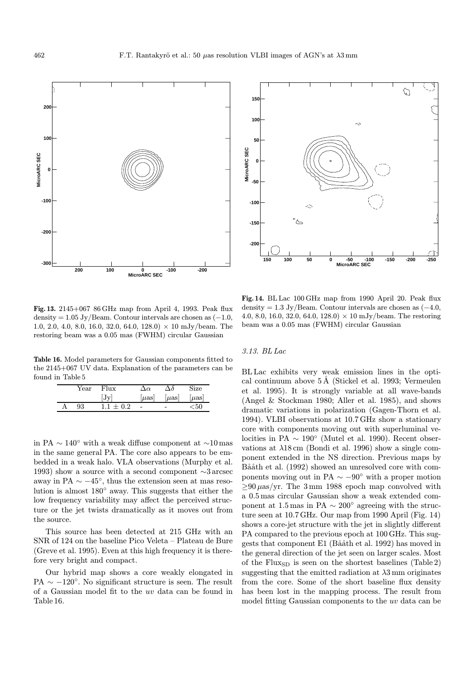

Fig. 13. 2145+067 86 GHz map from April 4, 1993. Peak flux density =  $1.05$  Jy/Beam. Contour intervals are chosen as  $(-1.0,$ 1.0, 2.0, 4.0, 8.0, 16.0, 32.0, 64.0, 128.0)  $\times$  10 mJy/beam. The restoring beam was a 0.05 mas (FWHM) circular Gaussian

Table 16. Model parameters for Gaussian components fitted to the 2145+067 UV data. Explanation of the parameters can be found in Table 5

| Year | Flux        | ۱n                       | $\Delta \delta$          | Size            |
|------|-------------|--------------------------|--------------------------|-----------------|
|      | $ J_V $     | $ \mu$ as                | $[\mu$ as                | $\left  \mu$ as |
| 93   | $1.1 + 0.2$ | $\overline{\phantom{a}}$ | $\overline{\phantom{0}}$ | $<$ 50          |

in PA ∼ 140◦ with a weak diffuse component at ∼10 mas in the same general PA. The core also appears to be embedded in a weak halo. VLA observations (Murphy et al. 1993) show a source with a second component ∼3 arcsec away in PA  $\sim -45^{\circ}$ , thus the extension seen at mas resolution is almost 180◦ away. This suggests that either the low frequency variability may affect the perceived structure or the jet twists dramatically as it moves out from the source.

This source has been detected at 215 GHz with an SNR of 124 on the baseline Pico Veleta – Plateau de Bure (Greve et al. 1995). Even at this high frequency it is therefore very bright and compact.

Our hybrid map shows a core weakly elongated in PA  $\sim -120^{\circ}$ . No significant structure is seen. The result of a Gaussian model fit to the uv data can be found in Table 16.



Fig. 14. BL Lac 100 GHz map from 1990 April 20. Peak flux density = 1.3 Jy/Beam. Contour intervals are chosen as  $(-4.0,$ 4.0, 8.0, 16.0, 32.0, 64.0, 128.0)  $\times$  10 mJy/beam. The restoring beam was a 0.05 mas (FWHM) circular Gaussian

#### 3.13. BL Lac

BL Lac exhibits very weak emission lines in the optical continuum above  $5 \text{\AA}$  (Stickel et al. 1993; Vermeulen et al. 1995). It is strongly variable at all wave-bands (Angel & Stockman 1980; Aller et al. 1985), and shows dramatic variations in polarization (Gagen-Thorn et al. 1994). VLBI observations at 10.7 GHz show a stationary core with components moving out with superluminal velocities in PA  $\sim 190^{\circ}$  (Mutel et al. 1990). Recent observations at  $\lambda$ 18 cm (Bondi et al. 1996) show a single component extended in the NS direction. Previous maps by Bååth et al. (1992) showed an unresolved core with components moving out in PA  $\sim -90^\circ$  with a proper motion  $\geq$ 90  $\mu$ as/yr. The 3 mm 1988 epoch map convolved with a 0.5 mas circular Gaussian show a weak extended component at 1.5 mas in PA  $\sim 200^{\circ}$  agreeing with the structure seen at 10.7 GHz. Our map from 1990 April (Fig. 14) shows a core-jet structure with the jet in slightly different PA compared to the previous epoch at 100 GHz. This suggests that component E1 (Bååth et al. 1992) has moved in the general direction of the jet seen on larger scales. Most of the Flux<sub>SD</sub> is seen on the shortest baselines (Table 2) suggesting that the emitted radiation at  $\lambda$ 3 mm originates from the core. Some of the short baseline flux density has been lost in the mapping process. The result from model fitting Gaussian components to the uv data can be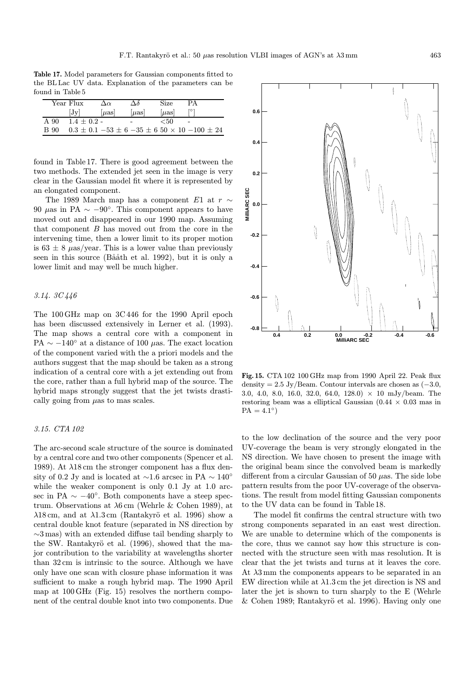Table 17. Model parameters for Gaussian components fitted to the BL Lac UV data. Explanation of the parameters can be found in Table 5

|      | Year Flux       | $\Delta \alpha$ | Δδ  | Size | PА                                                             |
|------|-----------------|-----------------|-----|------|----------------------------------------------------------------|
|      | Jv              | $ u$ as         | uas | uas  |                                                                |
| A 90 | $1.4 \pm 0.2$ - |                 |     | < 50 |                                                                |
| B 90 |                 |                 |     |      | $0.3 \pm 0.1 -53 \pm 6 -35 \pm 6$ 50 $\times$ 10 $-100 \pm 24$ |

found in Table 17. There is good agreement between the two methods. The extended jet seen in the image is very clear in the Gaussian model fit where it is represented by an elongated component.

The 1989 March map has a component E1 at  $r \sim$ 90  $\mu$ as in PA ~ −90°. This component appears to have moved out and disappeared in our 1990 map. Assuming that component B has moved out from the core in the intervening time, then a lower limit to its proper motion is  $63 \pm 8$   $\mu$ as/year. This is a lower value than previously seen in this source (Bååth et al. 1992), but it is only a lower limit and may well be much higher.

# 3.14. 3C 446

The 100 GHz map on 3C 446 for the 1990 April epoch has been discussed extensively in Lerner et al. (1993). The map shows a central core with a component in PA  $\sim -140^{\circ}$  at a distance of 100  $\mu$ as. The exact location of the component varied with the a priori models and the authors suggest that the map should be taken as a strong indication of a central core with a jet extending out from the core, rather than a full hybrid map of the source. The hybrid maps strongly suggest that the jet twists drastically going from  $\mu$ as to mas scales.

# 3.15. CTA 102

The arc-second scale structure of the source is dominated by a central core and two other components (Spencer et al. 1989). At  $\lambda$ 18 cm the stronger component has a flux density of 0.2 Jy and is located at  $\sim$ 1.6 arcsec in PA  $\sim$  140° while the weaker component is only 0.1 Jy at 1.0 arcsec in PA  $\sim -40^{\circ}$ . Both components have a steep spectrum. Observations at  $\lambda$ 6 cm (Wehrle & Cohen 1989), at  $\lambda$ 18 cm, and at  $\lambda$ 1.3 cm (Rantakyrö et al. 1996) show a central double knot feature (separated in NS direction by ∼3 mas) with an extended diffuse tail bending sharply to the SW. Rantakyrö et al. (1996), showed that the major contribution to the variability at wavelengths shorter than 32 cm is intrinsic to the source. Although we have only have one scan with closure phase information it was sufficient to make a rough hybrid map. The 1990 April map at 100 GHz (Fig. 15) resolves the northern component of the central double knot into two components. Due

**0.6 0.4 0.2 MIIIIARC SEC MilliARC SEC 0.0** Ì **-0.2 -0.4 -0.6 -0.8 MilliARC SEC 0.4 0.2 0.0 -0.2 -0.4 -0.6**

Fig. 15. CTA 102 100 GHz map from 1990 April 22. Peak flux density = 2.5 Jy/Beam. Contour intervals are chosen as  $(-3.0,$ 3.0, 4.0, 8.0, 16.0, 32.0, 64.0, 128.0)  $\times$  10 mJy/beam. The restoring beam was a elliptical Gaussian  $(0.44 \times 0.03$  mas in  $PA = 4.1°$ 

to the low declination of the source and the very poor UV-coverage the beam is very strongly elongated in the NS direction. We have chosen to present the image with the original beam since the convolved beam is markedly different from a circular Gaussian of 50  $\mu$ as. The side lobe pattern results from the poor UV-coverage of the observations. The result from model fitting Gaussian components to the UV data can be found in Table 18.

The model fit confirms the central structure with two strong components separated in an east west direction. We are unable to determine which of the components is the core, thus we cannot say how this structure is connected with the structure seen with mas resolution. It is clear that the jet twists and turns at it leaves the core. At  $\lambda$ 3 mm the components appears to be separated in an EW direction while at  $\lambda$ 1.3 cm the jet direction is NS and later the jet is shown to turn sharply to the E (Wehrle  $& Cohen$  1989; Rantakyrö et al. 1996). Having only one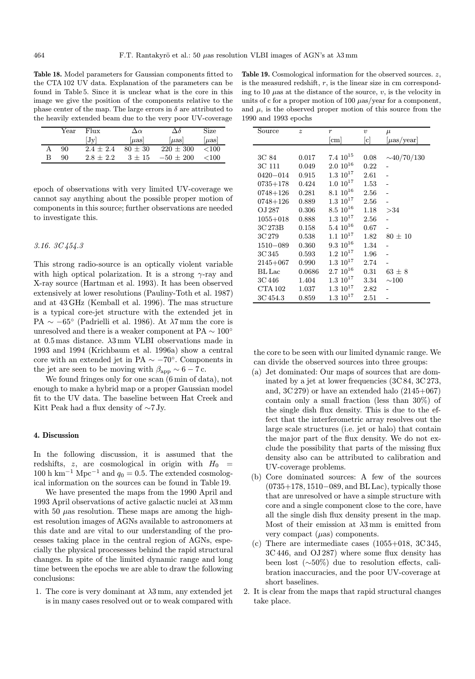Table 18. Model parameters for Gaussian components fitted to the CTA 102 UV data. Explanation of the parameters can be found in Table 5. Since it is unclear what is the core in this image we give the position of the components relative to the phase center of the map. The large errors in  $\delta$  are attributed to the heavily extended beam due to the very poor UV-coverage

|   | Year | Flux          | $\Delta \alpha$             | $\Delta \delta$ | Size      |
|---|------|---------------|-----------------------------|-----------------|-----------|
|   |      | $ J_V $       | $\left[\mu\text{as}\right]$ | uas             | $ \mu$ as |
|   | 90   | $2.4 \pm 2.4$ | $80 + 30$                   | $220 + 300$     | < 100     |
| В | 90   | $2.8 + 2.2$   | $3 + 15$                    | $-50 \pm 200$   | <100      |

epoch of observations with very limited UV-coverage we cannot say anything about the possible proper motion of components in this source; further observations are needed to investigate this.

# 3.16. 3C 454.3

This strong radio-source is an optically violent variable with high optical polarization. It is a strong  $\gamma$ -ray and X-ray source (Hartman et al. 1993). It has been observed extensively at lower resolutions (Pauliny-Toth et al. 1987) and at 43 GHz (Kemball et al. 1996). The mas structure is a typical core-jet structure with the extended jet in PA  $\sim -65^{\circ}$  (Padrielli et al. 1986). At  $\lambda$ 7 mm the core is unresolved and there is a weaker component at PA  $\sim 100^{\circ}$ at  $0.5$  mas distance.  $\lambda 3$  mm VLBI observations made in 1993 and 1994 (Krichbaum et al. 1996a) show a central core with an extended jet in PA  $\sim -70^{\circ}$ . Components in the jet are seen to be moving with  $\beta_{\rm app} \sim 6-7\, {\rm c}.$ 

We found fringes only for one scan (6 min of data), not enough to make a hybrid map or a proper Gaussian model fit to the UV data. The baseline between Hat Creek and Kitt Peak had a flux density of ∼7 Jy.

## 4. Discussion

In the following discussion, it is assumed that the redshifts, z, are cosmological in origin with  $H_0$  = 100 h km<sup>-1</sup> Mpc<sup>-1</sup> and  $q_0 = 0.5$ . The extended cosmological information on the sources can be found in Table 19.

We have presented the maps from the 1990 April and 1993 April observations of active galactic nuclei at  $\lambda$ 3 mm with 50  $\mu$ as resolution. These maps are among the highest resolution images of AGNs available to astronomers at this date and are vital to our understanding of the processes taking place in the central region of AGNs, especially the physical procesesses behind the rapid structural changes. In spite of the limited dynamic range and long time between the epochs we are able to draw the following conclusions:

1. The core is very dominant at  $\lambda 3$  mm, any extended jet is in many cases resolved out or to weak compared with

| <b>Table 19.</b> Cosmological information for the observed sources. $z$ , |
|---------------------------------------------------------------------------|
| is the measured redshift, $r$ , is the linear size in cm correspond-      |
| ing to 10 $\mu$ as at the distance of the source, v, is the velocity in   |
| units of c for a proper motion of 100 $\mu$ as/year for a component,      |
| and $\mu$ , is the observed proper motion of this source from the         |
| $1990$ and $1993$ epochs                                                  |

| Source        | $\boldsymbol{z}$ | $\boldsymbol{r}$   | $\boldsymbol{v}$ | $\mu$            |
|---------------|------------------|--------------------|------------------|------------------|
|               |                  | cm                 | [c]              | $ \mu$ as/year   |
|               |                  |                    |                  |                  |
| 3C 84         | 0.017            | $7.4~10^{15}$      | 0.08             | $\sim$ 40/70/130 |
| 3C 111        | 0.049            | $2.010^{16}$       | 0.22             |                  |
| $0420 - 014$  | 0.915            | $1.3 \; 10^{17}$   | 2.61             |                  |
| $0735 + 178$  | 0.424            | $1.0 10^{17}$      | $1.53\,$         |                  |
| 0748+126      | 0.281            | $8.1\,\,10^{16}$   | $2.56\,$         |                  |
| $0748 + 126$  | 0.889            | $1.3 10^{17}$      | 2.56             |                  |
| O.I 287       | 0.306            | $8.5\ 10^{16}$     | 1.18             | >34              |
| $1055 + 018$  | 0.888            | $1.3 \,\, 10^{17}$ | 2.56             |                  |
| 3C 273B       | 0.158            | $5.4~10^{16}$      | 0.67             |                  |
| 3C 279        | 0.538            | $1.1~10^{17}$      | 1.82             | $80 \pm 10$      |
| $1510 - 089$  | 0.360            | $9.3 \; 10^{16}$   | 1.34             |                  |
| 3C 345        | 0.593            | $1.2~10^{17}$      | 1.96             |                  |
| $2145 + 067$  | 0.990            | $1.3 \,\, 10^{17}$ | 2.74             |                  |
| <b>BL</b> Lac | 0.0686           | $2.7~10^{16}$      | 0.31             | $63\,\pm\,8$     |
| 3C 446        | 1.404            | $1.3 10^{17}$      | 3.34             | ${\sim}100$      |
| CTA 102       | 1.037            | $1.3 \; 10^{17}$   | 2.82             |                  |
| 3C 454.3      | 0.859            | $1.3 \; 10^{17}$   | 2.51             |                  |

the core to be seen with our limited dynamic range. We can divide the observed sources into three groups:

- (a) Jet dominated: Our maps of sources that are dominated by a jet at lower frequencies (3C 84, 3C 273, and,  $3C 279$  or have an extended halo  $(2145+067)$ contain only a small fraction (less than 30%) of the single dish flux density. This is due to the effect that the interferometric array resolves out the large scale structures (i.e. jet or halo) that contain the major part of the flux density. We do not exclude the possibility that parts of the missing flux density also can be attributed to calibration and UV-coverage problems.
- (b) Core dominated sources: A few of the sources (0735+178, 1510−089, and BL Lac), typically those that are unresolved or have a simple structure with core and a single component close to the core, have all the single dish flux density present in the map. Most of their emission at  $\lambda 3$  mm is emitted from very compact  $(\mu as)$  components.
- (c) There are intermediate cases  $(1055+018, 3C345,$ 3C 446, and OJ 287) where some flux density has been lost (∼50%) due to resolution effects, calibration inaccuracies, and the poor UV-coverage at short baselines.
- 2. It is clear from the maps that rapid structural changes take place.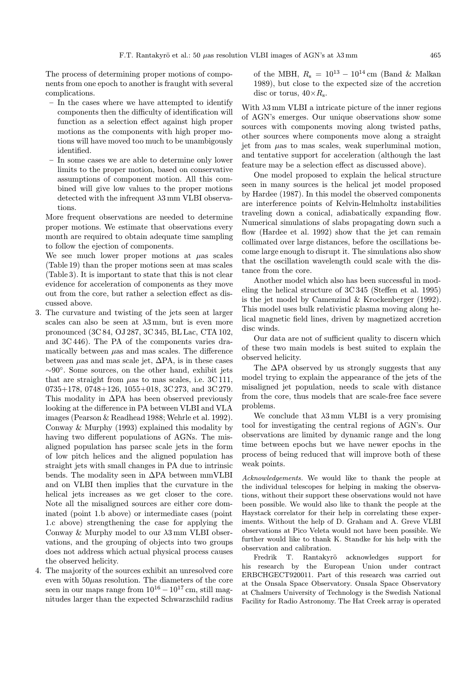The process of determining proper motions of components from one epoch to another is fraught with several complications.

- In the cases where we have attempted to identify components then the difficulty of identification will function as a selection effect against high proper motions as the components with high proper motions will have moved too much to be unambigously identified.
- In some cases we are able to determine only lower limits to the proper motion, based on conservative assumptions of component motion. All this combined will give low values to the proper motions detected with the infrequent  $\lambda$ 3 mm VLBI observations.

More frequent observations are needed to determine proper motions. We estimate that observations every month are required to obtain adequate time sampling to follow the ejection of components.

We see much lower proper motions at  $\mu$ as scales (Table 19) than the proper motions seen at mas scales (Table 3). It is important to state that this is not clear evidence for acceleration of components as they move out from the core, but rather a selection effect as discussed above.

- 3. The curvature and twisting of the jets seen at larger scales can also be seen at  $\lambda 3$  mm, but is even more pronounced (3C 84, OJ 287, 3C 345, BL Lac, CTA 102, and 3C 446). The PA of the components varies dramatically between  $\mu$ as and mas scales. The difference between  $\mu$ as and mas scale jet,  $\Delta$ PA, is in these cases ∼90◦. Some sources, on the other hand, exhibit jets that are straight from  $\mu$ as to mas scales, i.e. 3C 111, 0735+178, 0748+126, 1055+018, 3C 273, and 3C 279. This modality in  $\Delta$ PA has been observed previously looking at the difference in PA between VLBI and VLA images (Pearson & Readhead 1988; Wehrle et al. 1992). Conway & Murphy (1993) explained this modality by having two different populations of AGNs. The misaligned population has parsec scale jets in the form of low pitch helices and the aligned population has straight jets with small changes in PA due to intrinsic bends. The modality seen in ∆PA between mmVLBI and on VLBI then implies that the curvature in the helical jets increases as we get closer to the core. Note all the misaligned sources are either core dominated (point 1.b above) or intermediate cases (point 1.c above) strengthening the case for applying the Conway & Murphy model to our  $\lambda$ 3 mm VLBI observations, and the grouping of objects into two groups does not address which actual physical process causes the observed helicity.
- 4. The majority of the sources exhibit an unresolved core even with  $50\mu$ as resolution. The diameters of the core seen in our maps range from  $10^{16} - 10^{17}$  cm, still magnitudes larger than the expected Schwarzschild radius

of the MBH,  $R_s = 10^{13} - 10^{14}$  cm (Band & Malkan 1989), but close to the expected size of the accretion disc or torus,  $40 \times R_s$ .

With  $\lambda$ 3 mm VLBI a intricate picture of the inner regions of AGN's emerges. Our unique observations show some sources with components moving along twisted paths, other sources where components move along a straight jet from  $\mu$ as to mas scales, weak superluminal motion, and tentative support for acceleration (although the last feature may be a selection effect as discussed above).

One model proposed to explain the helical structure seen in many sources is the helical jet model proposed by Hardee (1987). In this model the observed components are interference points of Kelvin-Helmholtz instabilities traveling down a conical, adiabatically expanding flow. Numerical simulations of slabs propagating down such a flow (Hardee et al. 1992) show that the jet can remain collimated over large distances, before the oscillations become large enough to disrupt it. The simulations also show that the oscillation wavelength could scale with the distance from the core.

Another model which also has been successful in modeling the helical structure of 3C 345 (Steffen et al. 1995) is the jet model by Camenzind & Krockenberger (1992). This model uses bulk relativistic plasma moving along helical magnetic field lines, driven by magnetized accretion disc winds.

Our data are not of sufficient quality to discern which of these two main models is best suited to explain the observed helicity.

The  $\Delta$ PA observed by us strongly suggests that any model trying to explain the appearance of the jets of the misaligned jet population, needs to scale with distance from the core, thus models that are scale-free face severe problems.

We conclude that  $\lambda 3$  mm VLBI is a very promising tool for investigating the central regions of AGN's. Our observations are limited by dynamic range and the long time between epochs but we have newer epochs in the process of being reduced that will improve both of these weak points.

Acknowledgements. We would like to thank the people at the individual telescopes for helping in making the observations, without their support these observations would not have been possible. We would also like to thank the people at the Haystack correlator for their help in correlating these experiments. Without the help of D. Graham and A. Greve VLBI observations at Pico Veleta would not have been possible. We further would like to thank K. Standke for his help with the observation and calibration.

Fredrik T. Rantakyrö acknowledges support for his research by the European Union under contract ERBCHGECT920011. Part of this research was carried out at the Onsala Space Observatory. Onsala Space Observatory at Chalmers University of Technology is the Swedish National Facility for Radio Astronomy. The Hat Creek array is operated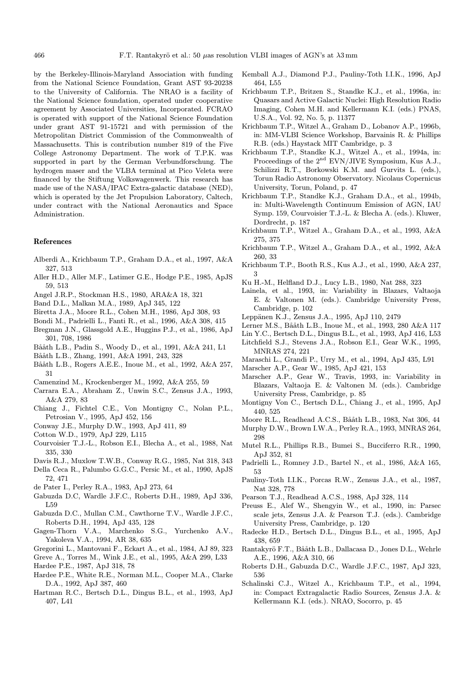by the Berkeley-Illinois-Maryland Association with funding from the National Science Foundation, Grant AST 93-20238 to the University of California. The NRAO is a facility of the National Science foundation, operated under cooperative agreement by Associated Universities, Incorporated. FCRAO is operated with support of the National Science Foundation under grant AST 91-15721 and with permission of the Metropolitan District Commission of the Commonwealth of Massachusetts. This is contribution number 819 of the Five College Astronomy Department. The work of T.P.K. was supported in part by the German Verbundforschung. The hydrogen maser and the VLBA terminal at Pico Veleta were financed by the Stiftung Volkswagenwerk. This research has made use of the NASA/IPAC Extra-galactic database (NED), which is operated by the Jet Propulsion Laboratory, Caltech, under contract with the National Aeronautics and Space Administration.

## References

- Alberdi A., Krichbaum T.P., Graham D.A., et al., 1997, A&A 327, 513
- Aller H.D., Aller M.F., Latimer G.E., Hodge P.E., 1985, ApJS 59, 513
- Angel J.R.P., Stockman H.S., 1980, ARA&A 18, 321
- Band D.L., Malkan M.A., 1989, ApJ 345, 122
- Biretta J.A., Moore R.L., Cohen M.H., 1986, ApJ 308, 93
- Bondi M., Padrielli L., Fanti R., et al., 1996, A&A 308, 415
- Bregman J.N., Glassgold A.E., Huggins P.J., et al., 1986, ApJ 301, 708, 1986
- Bååth L.B., Padin S., Woody D., et al., 1991, A&A 241, L1
- Bååth L.B., Zhang, 1991, A&A 1991, 243, 328
- Bååth L.B., Rogers A.E.E., Inoue M., et al., 1992, A&A 257, 31
- Camenzind M., Krockenberger M., 1992, A&A 255, 59
- Carrara E.A., Abraham Z., Unwin S.C., Zensus J.A., 1993, A&A 279, 83
- Chiang J., Fichtel C.E., Von Montigny C., Nolan P.L., Petrosian V., 1995, ApJ 452, 156
- Conway J.E., Murphy D.W., 1993, ApJ 411, 89
- Cotton W.D., 1979, ApJ 229, L115
- Courvoisier T.J.-L., Robson E.I., Blecha A., et al., 1988, Nat 335, 330
- Davis R.J., Muxlow T.W.B., Conway R.G., 1985, Nat 318, 343
- Della Ceca R., Palumbo G.G.C., Persic M., et al., 1990, ApJS 72, 471
- de Pater I., Perley R.A., 1983, ApJ 273, 64
- Gabuzda D.C, Wardle J.F.C., Roberts D.H., 1989, ApJ 336, L59
- Gabuzda D.C., Mullan C.M., Cawthorne T.V., Wardle J.F.C., Roberts D.H., 1994, ApJ 435, 128
- Gagen-Thorn V.A., Marchenko S.G., Yurchenko A.V., Yakoleva V.A., 1994, AR 38, 635
- Gregorini L., Mantovani F., Eckart A., et al., 1984, AJ 89, 323
- Greve A., Torres M., Wink J.E., et al., 1995, A&A 299, L33
- Hardee P.E., 1987, ApJ 318, 78
- Hardee P.E., White R.E., Norman M.L., Cooper M.A., Clarke D.A., 1992, ApJ 387, 460
- Hartman R.C., Bertsch D.L., Dingus B.L., et al., 1993, ApJ 407, L41
- Kemball A.J., Diamond P.J., Pauliny-Toth I.I.K., 1996, ApJ 464, L55
- Krichbaum T.P., Britzen S., Standke K.J., et al., 1996a, in: Quasars and Active Galactic Nuclei: High Resolution Radio Imaging, Cohen M.H. and Kellermann K.I. (eds.) PNAS, U.S.A., Vol. 92, No. 5, p. 11377
- Krichbaum T.P., Witzel A., Graham D., Lobanov A.P., 1996b, in: MM-VLBI Science Workshop, Barvainis R. & Phillips R.B. (eds.) Haystack MIT Cambridge, p. 3
- Krichbaum T.P., Standke K.J., Witzel A., et al., 1994a, in: Proceedings of the 2nd EVN/JIVE Symposium, Kus A.J., Schilizzi R.T., Borkowski K.M. and Gurvits L. (eds.), Torun Radio Astronomy Observatory. Nicolaus Copernicus University, Torun, Poland, p. 47
- Krichbaum T.P., Standke K.J., Graham D.A., et al., 1994b, in: Multi-Wavelength Continuum Emission of AGN, IAU Symp. 159, Courvoisier T.J.-L. & Blecha A. (eds.). Kluwer, Dordrecht, p. 187
- Krichbaum T.P., Witzel A., Graham D.A., et al., 1993, A&A 275, 375
- Krichbaum T.P., Witzel A., Graham D.A., et al., 1992, A&A 260, 33
- Krichbaum T.P., Booth R.S., Kus A.J., et al., 1990, A&A 237, 3
- Ku H.-M., Helfland D.J., Lucy L.B., 1980, Nat 288, 323
- Lainela, et al., 1993, in: Variability in Blazars, Valtaoja E. & Valtonen M. (eds.). Cambridge University Press, Cambridge, p. 102
- Leppänen K.J., Zensus J.A., 1995, ApJ 110, 2479
- Lerner M.S., Bååth L.B., Inoue M., et al., 1993, 280 A&A 117
- Lin Y.C., Bertsch D.L., Dingus B.L., et al., 1993, ApJ 416, L53
- Litchfield S.J., Stevens J.A., Robson E.I., Gear W.K., 1995, MNRAS 274, 221
- Maraschi L., Grandi P., Urry M., et al., 1994, ApJ 435, L91
- Marscher A.P., Gear W., 1985, ApJ 421, 153
- Marscher A.P., Gear W., Travis, 1993, in: Variability in Blazars, Valtaoja E. & Valtonen M. (eds.). Cambridge University Press, Cambridge, p. 85
- Montigny Von C., Bertsch D.L., Chiang J., et al., 1995, ApJ 440, 525
- Moore R.L., Readhead A.C.S., Bååth L.B., 1983, Nat 306, 44
- Murphy D.W., Brown I.W.A., Perley R.A., 1993, MNRAS 264, 298
- Mutel R.L., Phillips R.B., Bumei S., Bucciferro R.R., 1990, ApJ 352, 81
- Padrielli L., Romney J.D., Bartel N., et al., 1986, A&A 165, 53
- Pauliny-Toth I.I.K., Porcas R.W., Zensus J.A., et al., 1987, Nat 328, 778
- Pearson T.J., Readhead A.C.S., 1988, ApJ 328, 114
- Preuss E., Alef W., Shengyin W., et al., 1990, in: Parsec scale jets, Zensus J.A. & Pearson T.J. (eds.). Cambridge University Press, Cambridge, p. 120
- Radecke H.D., Bertsch D.L., Dingus B.L., et al., 1995, ApJ 438, 659
- Rantakyrö F.T., Bååth L.B., Dallacasa D., Jones D.L., Wehrle A.E., 1996, A&A 310, 66
- Roberts D.H., Gabuzda D.C., Wardle J.F.C., 1987, ApJ 323, 536
- Schalinski C.J., Witzel A., Krichbaum T.P., et al., 1994, in: Compact Extragalactic Radio Sources, Zensus J.A. & Kellermann K.I. (eds.). NRAO, Socorro, p. 45